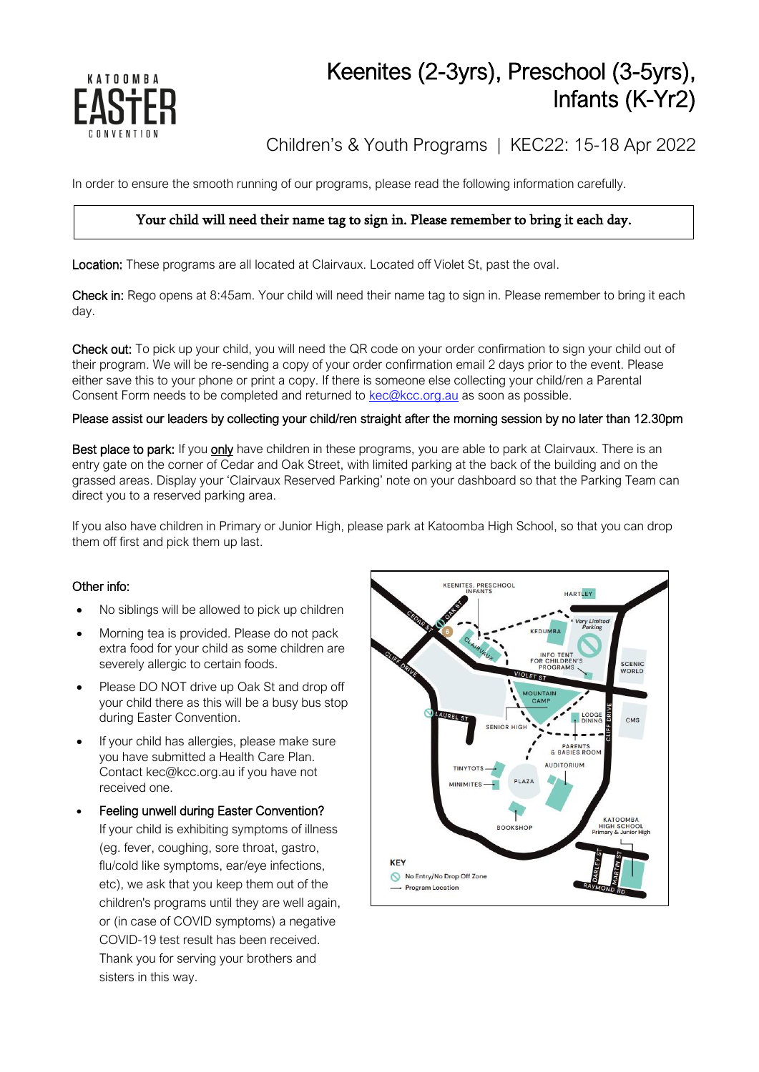

# Keenites (2-3yrs), Preschool (3-5yrs), Infants (K-Yr2)

Children's & Youth Programs | KEC22: 15-18 Apr 2022

In order to ensure the smooth running of our programs, please read the following information carefully.

### Your child will need their name tag to sign in. Please remember to bring it each day.

Location: These programs are all located at Clairvaux. Located off Violet St, past the oval.

Check in: Rego opens at 8:45am. Your child will need their name tag to sign in. Please remember to bring it each day.

Check out: To pick up your child, you will need the QR code on your order confirmation to sign your child out of their program. We will be re-sending a copy of your order confirmation email 2 days prior to the event. Please either save this to your phone or print a copy. If there is someone else collecting your child/ren a Parental Consent Form needs to be completed and returned to [kec@kcc.org.au](mailto:kec@kcc.org.au) as soon as possible.

#### Please assist our leaders by collecting your child/ren straight after the morning session by no later than 12.30pm

Best place to park: If you only have children in these programs, you are able to park at Clairvaux. There is an entry gate on the corner of Cedar and Oak Street, with limited parking at the back of the building and on the grassed areas. Display your 'Clairvaux Reserved Parking' note on your dashboard so that the Parking Team can direct you to a reserved parking area.

If you also have children in Primary or Junior High, please park at Katoomba High School, so that you can drop them off first and pick them up last.

#### Other info:

- No siblings will be allowed to pick up children
- Morning tea is provided. Please do not pack extra food for your child as some children are severely allergic to certain foods.
- Please DO NOT drive up Oak St and drop off your child there as this will be a busy bus stop during Easter Convention.
- If your child has allergies, please make sure you have submitted a Health Care Plan. Contact kec@kcc.org.au if you have not received one.
- Feeling unwell during Easter Convention? If your child is exhibiting symptoms of illness (eg. fever, coughing, sore throat, gastro, flu/cold like symptoms, ear/eye infections, etc), we ask that you keep them out of the children's programs until they are well again, or (in case of COVID symptoms) a negative COVID-19 test result has been received. Thank you for serving your brothers and sisters in this way.